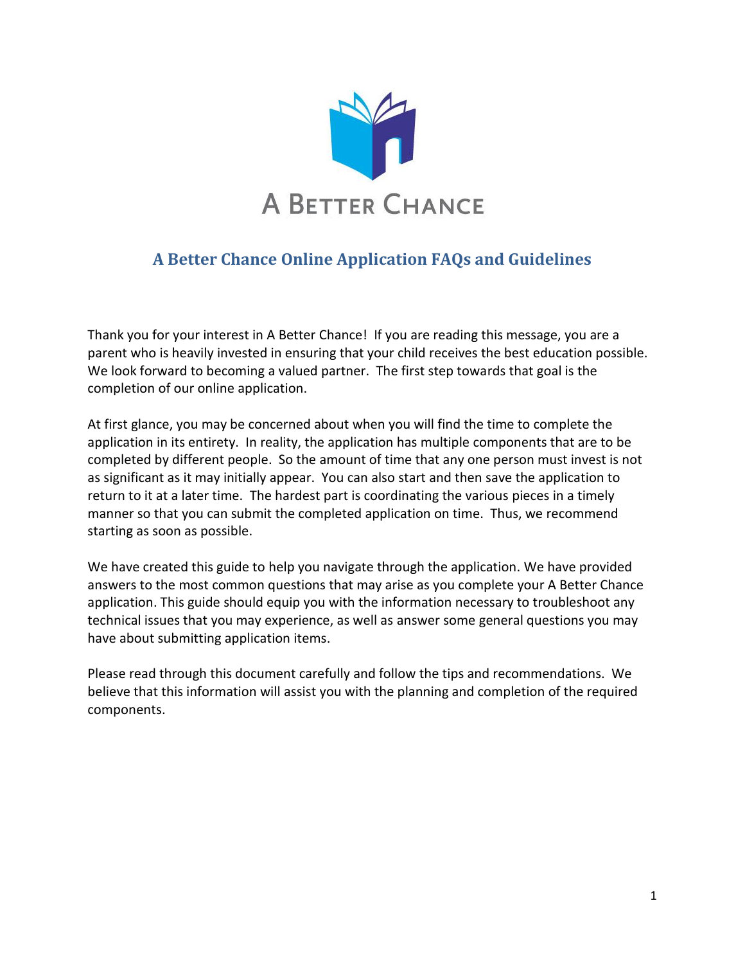

# <span id="page-0-0"></span>**A Better Chance Online Application FAQs and Guidelines**

Thank you for your interest in A Better Chance! If you are reading this message, you are a parent who is heavily invested in ensuring that your child receives the best education possible. We look forward to becoming a valued partner. The first step towards that goal is the completion of our online application.

At first glance, you may be concerned about when you will find the time to complete the application in its entirety. In reality, the application has multiple components that are to be completed by different people. So the amount of time that any one person must invest is not as significant as it may initially appear. You can also start and then save the application to return to it at a later time. The hardest part is coordinating the various pieces in a timely manner so that you can submit the completed application on time. Thus, we recommend starting as soon as possible.

We have created this guide to help you navigate through the application. We have provided answers to the most common questions that may arise as you complete your A Better Chance application. This guide should equip you with the information necessary to troubleshoot any technical issues that you may experience, as well as answer some general questions you may have about submitting application items.

Please read through this document carefully and follow the tips and recommendations. We believe that this information will assist you with the planning and completion of the required components.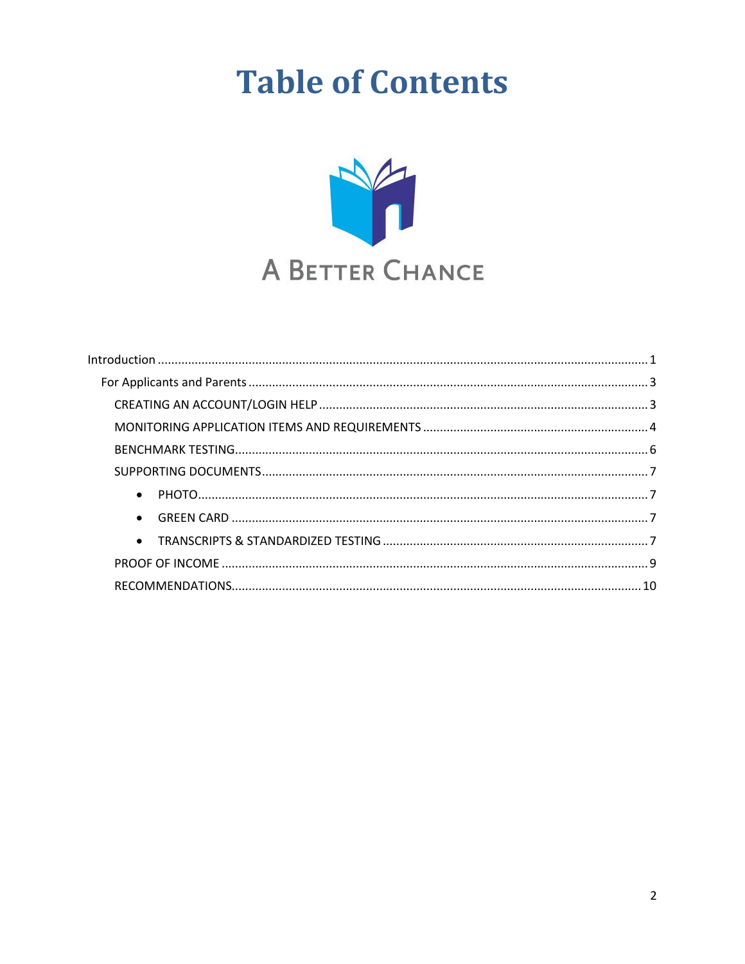# **Table of Contents**



| $\bullet$ |  |
|-----------|--|
|           |  |
|           |  |
|           |  |
|           |  |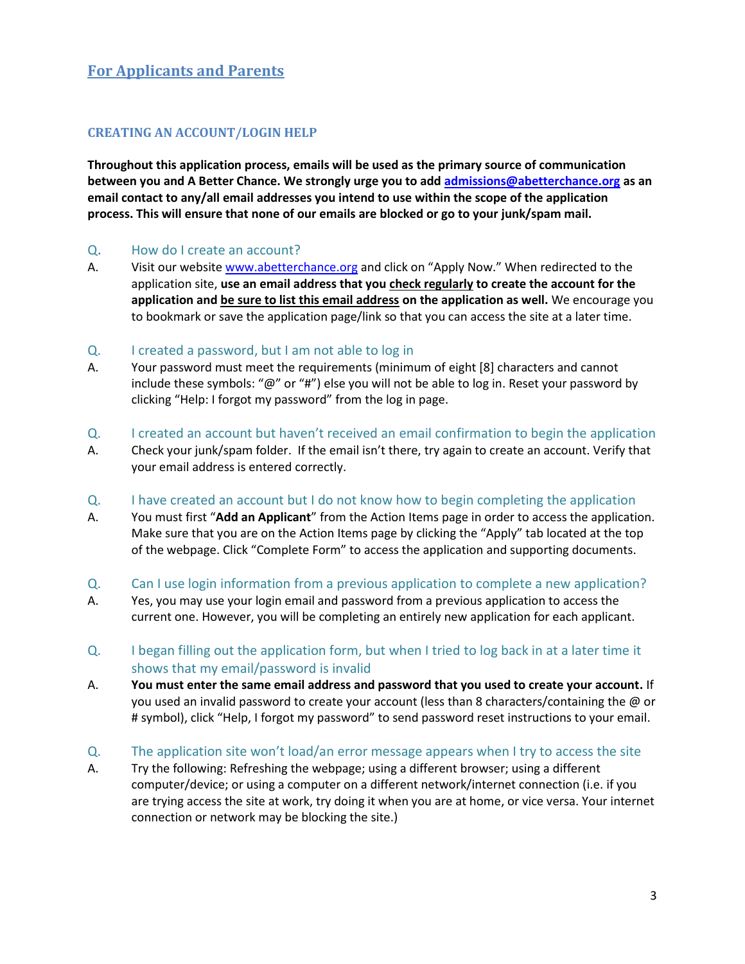# <span id="page-2-0"></span>**For Applicants and Parents**

#### <span id="page-2-1"></span>**CREATING AN ACCOUNT/LOGIN HELP**

**Throughout this application process, emails will be used as the primary source of communication between you and A Better Chance. We strongly urge you to add [admissions@abetterchance.org](mailto:admissions@abetterchance.org) as an email contact to any/all email addresses you intend to use within the scope of the application process. This will ensure that none of our emails are blocked or go to your junk/spam mail.** 

#### Q. How do I create an account?

A. Visit our website [www.abetterchance.org](http://www.abetterchance.org/) and click on "Apply Now." When redirected to the application site, **use an email address that you check regularly to create the account for the application and be sure to list this email address on the application as well.** We encourage you to bookmark or save the application page/link so that you can access the site at a later time.

#### Q. I created a password, but I am not able to log in

- A. Your password must meet the requirements (minimum of eight [8] characters and cannot include these symbols: "@" or "#") else you will not be able to log in. Reset your password by clicking "Help: I forgot my password" from the log in page.
- Q. I created an account but haven't received an email confirmation to begin the application
- A. Check your junk/spam folder. If the email isn't there, try again to create an account. Verify that your email address is entered correctly.
- Q. I have created an account but I do not know how to begin completing the application
- A. You must first "**Add an Applicant**" from the Action Items page in order to access the application. Make sure that you are on the Action Items page by clicking the "Apply" tab located at the top of the webpage. Click "Complete Form" to access the application and supporting documents.
- Q. Can I use login information from a previous application to complete a new application?
- A. Yes, you may use your login email and password from a previous application to access the current one. However, you will be completing an entirely new application for each applicant.
- Q. I began filling out the application form, but when I tried to log back in at a later time it shows that my email/password is invalid
- A. **You must enter the same email address and password that you used to create your account.** If you used an invalid password to create your account (less than 8 characters/containing the @ or # symbol), click "Help, I forgot my password" to send password reset instructions to your email.
- Q. The application site won't load/an error message appears when I try to access the site
- A. Try the following: Refreshing the webpage; using a different browser; using a different computer/device; or using a computer on a different network/internet connection (i.e. if you are trying access the site at work, try doing it when you are at home, or vice versa. Your internet connection or network may be blocking the site.)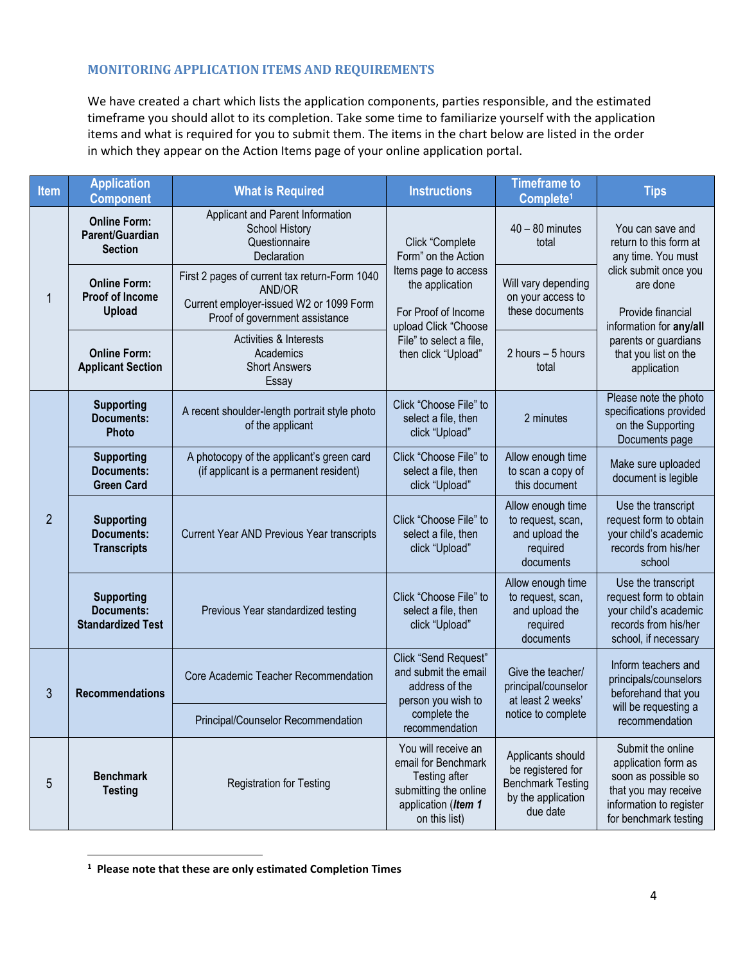# <span id="page-3-0"></span>**MONITORING APPLICATION ITEMS AND REQUIREMENTS**

We have created a chart which lists the application components, parties responsible, and the estimated timeframe you should allot to its completion. Take some time to familiarize yourself with the application items and what is required for you to submit them. The items in the chart below are listed in the order in which they appear on the Action Items page of your online application portal.

| <b>Item</b>    | <b>Application</b><br><b>Component</b>                             | <b>What is Required</b>                                                                                                              | <b>Instructions</b>                                                                                                                                                                | <b>Timeframe to</b><br>Complete <sup>1</sup>                                                         | <b>Tips</b>                                                                                                                                 |                                                                                   |
|----------------|--------------------------------------------------------------------|--------------------------------------------------------------------------------------------------------------------------------------|------------------------------------------------------------------------------------------------------------------------------------------------------------------------------------|------------------------------------------------------------------------------------------------------|---------------------------------------------------------------------------------------------------------------------------------------------|-----------------------------------------------------------------------------------|
| 1              | <b>Online Form:</b><br>Parent/Guardian<br><b>Section</b>           | Applicant and Parent Information<br><b>School History</b><br>Questionnaire<br>Declaration                                            | Click "Complete<br>Form" on the Action<br>Items page to access<br>the application<br>For Proof of Income<br>upload Click "Choose<br>File" to select a file,<br>then click "Upload" | $40 - 80$ minutes<br>total                                                                           | You can save and<br>return to this form at<br>any time. You must                                                                            |                                                                                   |
|                | <b>Online Form:</b><br>Proof of Income<br><b>Upload</b>            | First 2 pages of current tax return-Form 1040<br>AND/OR<br>Current employer-issued W2 or 1099 Form<br>Proof of government assistance |                                                                                                                                                                                    |                                                                                                      | Will vary depending<br>on your access to<br>these documents                                                                                 | click submit once you<br>are done<br>Provide financial<br>information for any/all |
|                | <b>Online Form:</b><br><b>Applicant Section</b>                    | Activities & Interests<br>Academics<br><b>Short Answers</b><br>Essay                                                                 |                                                                                                                                                                                    | 2 hours - 5 hours<br>total                                                                           | parents or guardians<br>that you list on the<br>application                                                                                 |                                                                                   |
| $\overline{2}$ | <b>Supporting</b><br><b>Documents:</b><br><b>Photo</b>             | A recent shoulder-length portrait style photo<br>of the applicant                                                                    | Click "Choose File" to<br>select a file, then<br>click "Upload"                                                                                                                    | 2 minutes                                                                                            | Please note the photo<br>specifications provided<br>on the Supporting<br>Documents page                                                     |                                                                                   |
|                | <b>Supporting</b><br><b>Documents:</b><br><b>Green Card</b>        | A photocopy of the applicant's green card<br>(if applicant is a permanent resident)                                                  | Click "Choose File" to<br>select a file, then<br>click "Upload"                                                                                                                    | Allow enough time<br>to scan a copy of<br>this document                                              | Make sure uploaded<br>document is legible                                                                                                   |                                                                                   |
|                | <b>Supporting</b><br><b>Documents:</b><br><b>Transcripts</b>       | Current Year AND Previous Year transcripts                                                                                           | Click "Choose File" to<br>select a file, then<br>click "Upload"                                                                                                                    | Allow enough time<br>to request, scan,<br>and upload the<br>required<br>documents                    | Use the transcript<br>request form to obtain<br>your child's academic<br>records from his/her<br>school                                     |                                                                                   |
|                | <b>Supporting</b><br><b>Documents:</b><br><b>Standardized Test</b> | Previous Year standardized testing                                                                                                   | Click "Choose File" to<br>select a file, then<br>click "Upload"                                                                                                                    | Allow enough time<br>to request, scan,<br>and upload the<br>required<br>documents                    | Use the transcript<br>request form to obtain<br>your child's academic<br>records from his/her<br>school, if necessary                       |                                                                                   |
| 3              | <b>Recommendations</b>                                             | Core Academic Teacher Recommendation                                                                                                 | Click "Send Request"<br>and submit the email<br>address of the<br>person you wish to<br>complete the<br>recommendation                                                             | Give the teacher/<br>principal/counselor<br>at least 2 weeks'<br>notice to complete                  | Inform teachers and<br>principals/counselors<br>beforehand that you<br>will be requesting a                                                 |                                                                                   |
|                |                                                                    | Principal/Counselor Recommendation                                                                                                   |                                                                                                                                                                                    |                                                                                                      | recommendation                                                                                                                              |                                                                                   |
| 5              | <b>Benchmark</b><br><b>Testing</b>                                 | <b>Registration for Testing</b>                                                                                                      | You will receive an<br>email for Benchmark<br>Testing after<br>submitting the online<br>application (Item 1<br>on this list)                                                       | Applicants should<br>be registered for<br><b>Benchmark Testing</b><br>by the application<br>due date | Submit the online<br>application form as<br>soon as possible so<br>that you may receive<br>information to register<br>for benchmark testing |                                                                                   |

**<sup>1</sup> Please note that these are only estimated Completion Times** 

 $\overline{\phantom{a}}$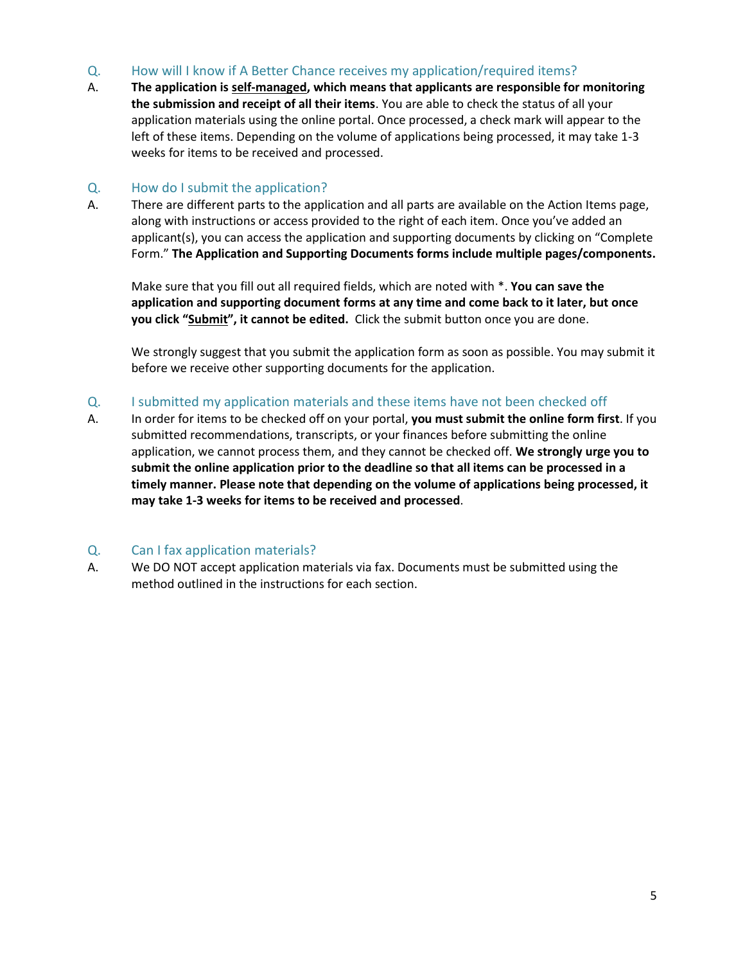# Q. How will I know if A Better Chance receives my application/required items?

A. **The application is self-managed, which means that applicants are responsible for monitoring the submission and receipt of all their items**. You are able to check the status of all your application materials using the online portal. Once processed, a check mark will appear to the left of these items. Depending on the volume of applications being processed, it may take 1-3 weeks for items to be received and processed.

#### Q. How do I submit the application?

A. There are different parts to the application and all parts are available on the Action Items page, along with instructions or access provided to the right of each item. Once you've added an applicant(s), you can access the application and supporting documents by clicking on "Complete Form." **The Application and Supporting Documents forms include multiple pages/components.**

Make sure that you fill out all required fields, which are noted with \*. **You can save the application and supporting document forms at any time and come back to it later, but once you click "Submit", it cannot be edited.** Click the submit button once you are done.

We strongly suggest that you submit the application form as soon as possible. You may submit it before we receive other supporting documents for the application.

- Q. I submitted my application materials and these items have not been checked off
- A. In order for items to be checked off on your portal, **you must submit the online form first**. If you submitted recommendations, transcripts, or your finances before submitting the online application, we cannot process them, and they cannot be checked off. **We strongly urge you to submit the online application prior to the deadline so that all items can be processed in a timely manner. Please note that depending on the volume of applications being processed, it may take 1-3 weeks for items to be received and processed**.

## Q. Can I fax application materials?

A. We DO NOT accept application materials via fax. Documents must be submitted using the method outlined in the instructions for each section.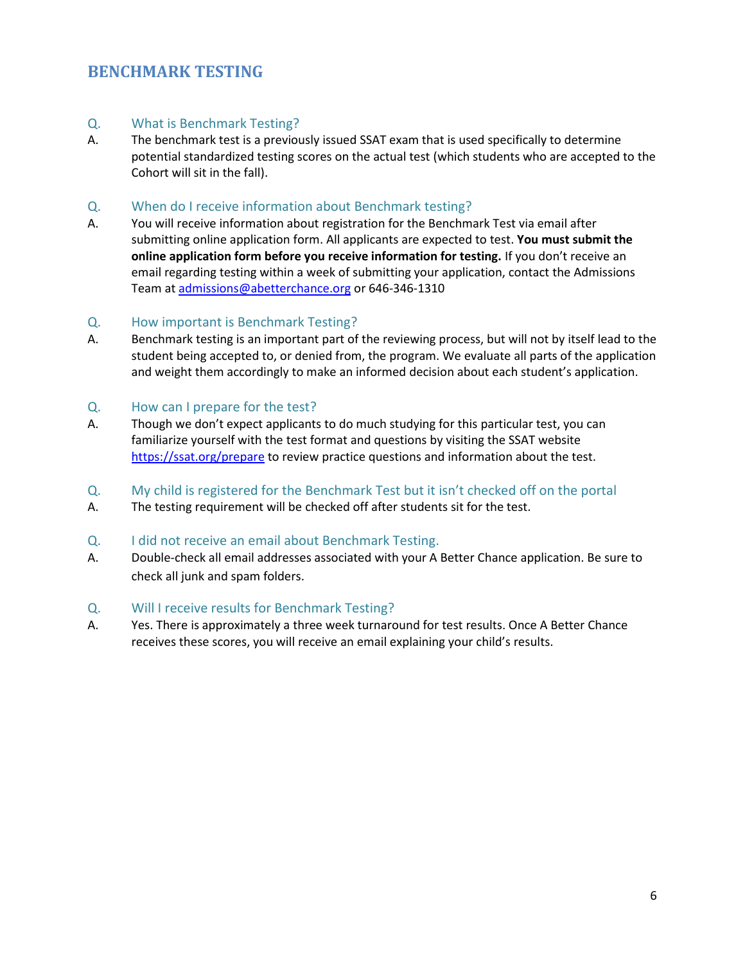# <span id="page-5-0"></span>**BENCHMARK TESTING**

#### Q. What is Benchmark Testing?

A. The benchmark test is a previously issued SSAT exam that is used specifically to determine potential standardized testing scores on the actual test (which students who are accepted to the Cohort will sit in the fall).

#### Q. When do I receive information about Benchmark testing?

A. You will receive information about registration for the Benchmark Test via email after submitting online application form. All applicants are expected to test. **You must submit the online application form before you receive information for testing.** If you don't receive an email regarding testing within a week of submitting your application, contact the Admissions Team at [admissions@abetterchance.org](mailto:admissions@abetterchance.org) or 646-346-1310

#### Q. How important is Benchmark Testing?

A. Benchmark testing is an important part of the reviewing process, but will not by itself lead to the student being accepted to, or denied from, the program. We evaluate all parts of the application and weight them accordingly to make an informed decision about each student's application.

#### Q. How can I prepare for the test?

- A. Though we don't expect applicants to do much studying for this particular test, you can familiarize yourself with the test format and questions by visiting the SSAT website <https://ssat.org/prepare>to review practice questions and information about the test.
- Q. My child is registered for the Benchmark Test but it isn't checked off on the portal
- A. The testing requirement will be checked off after students sit for the test.

#### Q. I did not receive an email about Benchmark Testing.

A. Double-check all email addresses associated with your A Better Chance application. Be sure to check all junk and spam folders.

## Q. Will I receive results for Benchmark Testing?

A. Yes. There is approximately a three week turnaround for test results. Once A Better Chance receives these scores, you will receive an email explaining your child's results.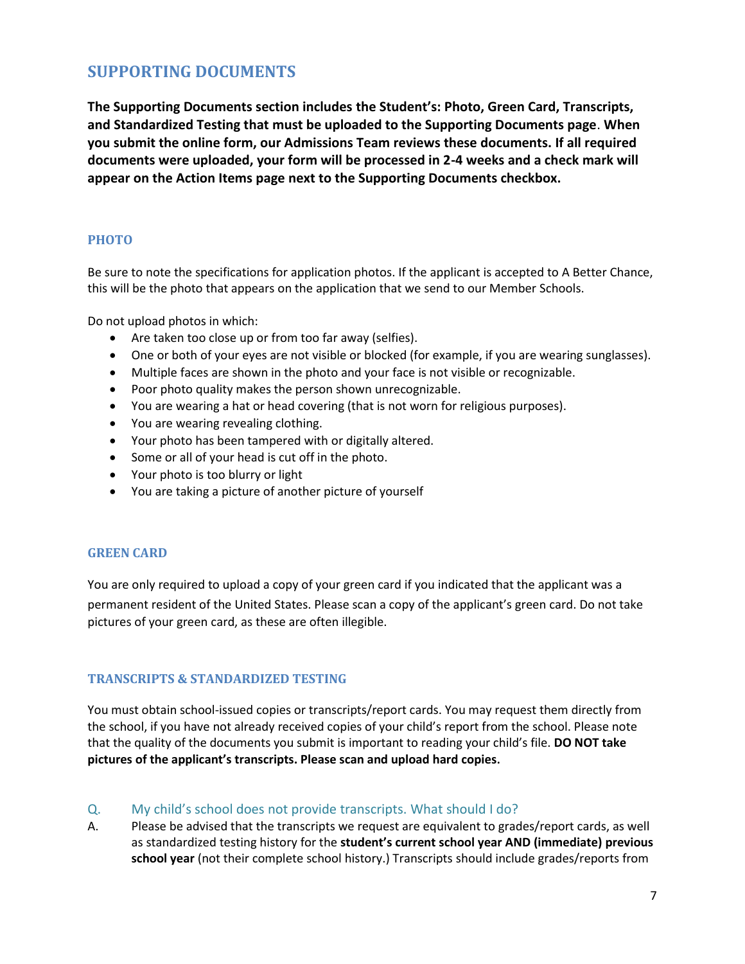# <span id="page-6-0"></span>**SUPPORTING DOCUMENTS**

**The Supporting Documents section includes the Student's: Photo, Green Card, Transcripts, and Standardized Testing that must be uploaded to the Supporting Documents page**. **When you submit the online form, our Admissions Team reviews these documents. If all required documents were uploaded, your form will be processed in 2-4 weeks and a check mark will appear on the Action Items page next to the Supporting Documents checkbox.** 

## <span id="page-6-1"></span>**PHOTO**

Be sure to note the specifications for application photos. If the applicant is accepted to A Better Chance, this will be the photo that appears on the application that we send to our Member Schools.

Do not upload photos in which:

- Are taken too close up or from too far away (selfies).
- One or both of your eyes are not visible or blocked (for example, if you are wearing sunglasses).
- Multiple faces are shown in the photo and your face is not visible or recognizable.
- Poor photo quality makes the person shown unrecognizable.
- You are wearing a hat or head covering (that is not worn for religious purposes).
- You are wearing revealing clothing.
- Your photo has been tampered with or digitally altered.
- Some or all of your head is cut off in the photo.
- Your photo is too blurry or light
- You are taking a picture of another picture of yourself

#### <span id="page-6-2"></span>**GREEN CARD**

You are only required to upload a copy of your green card if you indicated that the applicant was a permanent resident of the United States. Please scan a copy of the applicant's green card. Do not take pictures of your green card, as these are often illegible.

#### <span id="page-6-3"></span>**TRANSCRIPTS & STANDARDIZED TESTING**

You must obtain school-issued copies or transcripts/report cards. You may request them directly from the school, if you have not already received copies of your child's report from the school. Please note that the quality of the documents you submit is important to reading your child's file. **DO NOT take pictures of the applicant's transcripts. Please scan and upload hard copies.**

## Q. My child's school does not provide transcripts. What should I do?

A. Please be advised that the transcripts we request are equivalent to grades/report cards, as well as standardized testing history for the **student's current school year AND (immediate) previous school year** (not their complete school history.) Transcripts should include grades/reports from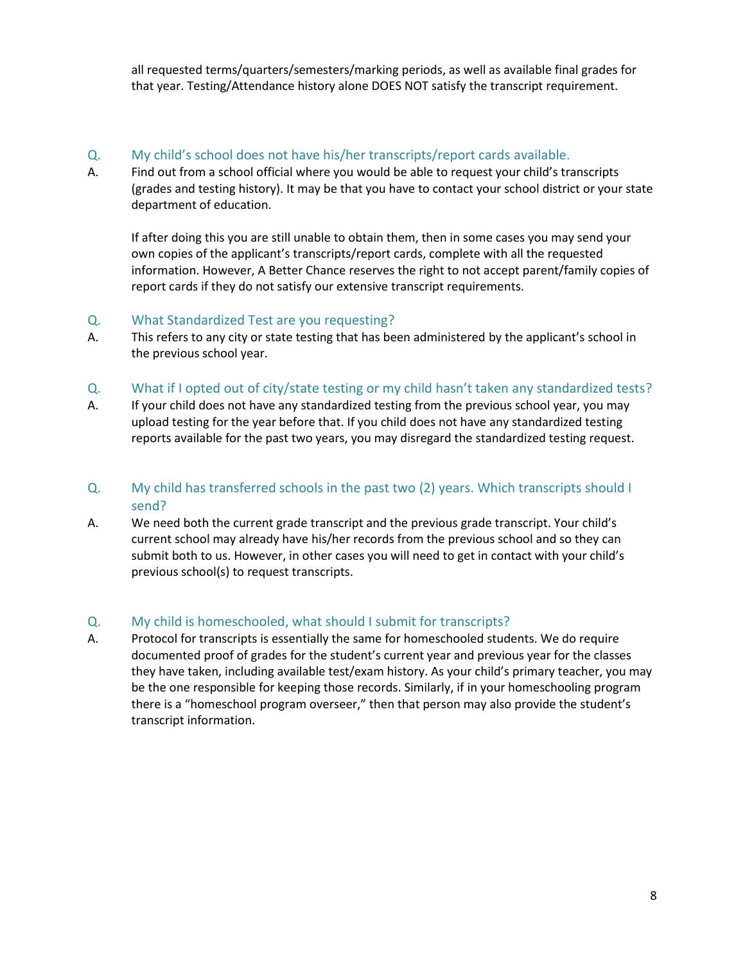all requested terms/quarters/semesters/marking periods, as well as available final grades for that year. Testing/Attendance history alone DOES NOT satisfy the transcript requirement.

- Q. My child's school does not have his/her transcripts/report cards available.
- A. Find out from a school official where you would be able to request your child's transcripts (grades and testing history). It may be that you have to contact your school district or your state department of education.

If after doing this you are still unable to obtain them, then in some cases you may send your own copies of the applicant's transcripts/report cards, complete with all the requested information. However, A Better Chance reserves the right to not accept parent/family copies of report cards if they do not satisfy our extensive transcript requirements.

# Q. What Standardized Test are you requesting?

A. This refers to any city or state testing that has been administered by the applicant's school in the previous school year.

# Q. What if I opted out of city/state testing or my child hasn't taken any standardized tests?

- A. If your child does not have any standardized testing from the previous school year, you may upload testing for the year before that. If you child does not have any standardized testing reports available for the past two years, you may disregard the standardized testing request.
- Q. My child has transferred schools in the past two (2) years. Which transcripts should I send?
- A. We need both the current grade transcript and the previous grade transcript. Your child's current school may already have his/her records from the previous school and so they can submit both to us. However, in other cases you will need to get in contact with your child's previous school(s) to request transcripts.

# Q. My child is homeschooled, what should I submit for transcripts?

A. Protocol for transcripts is essentially the same for homeschooled students. We do require documented proof of grades for the student's current year and previous year for the classes they have taken, including available test/exam history. As your child's primary teacher, you may be the one responsible for keeping those records. Similarly, if in your homeschooling program there is a "homeschool program overseer," then that person may also provide the student's transcript information.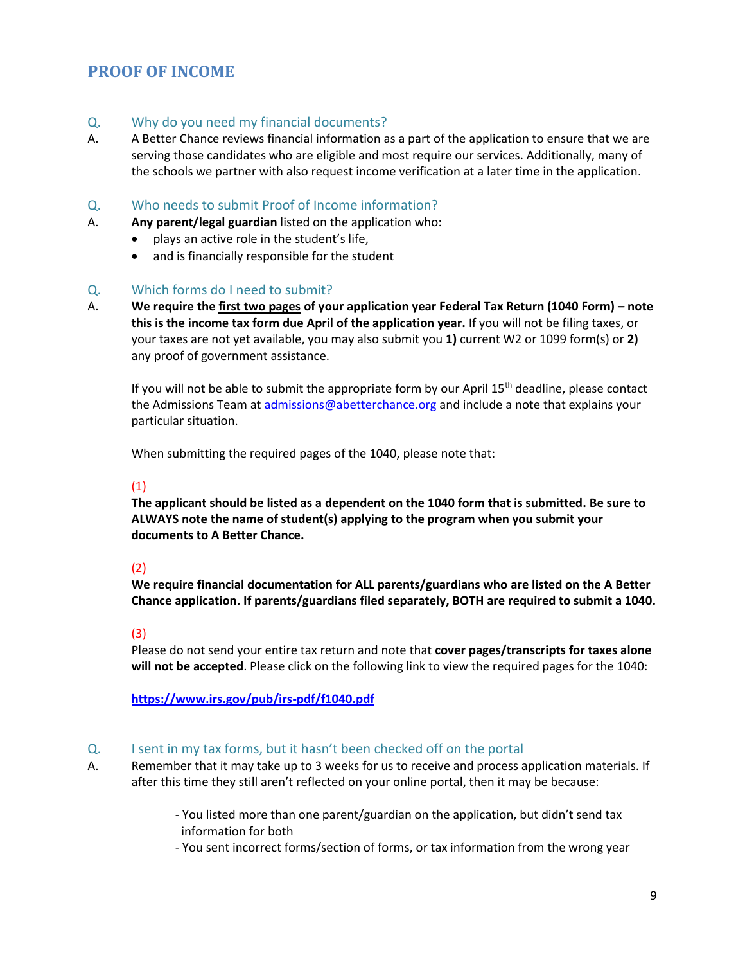# <span id="page-8-0"></span>**PROOF OF INCOME**

## Q. Why do you need my financial documents?

A. A Better Chance reviews financial information as a part of the application to ensure that we are serving those candidates who are eligible and most require our services. Additionally, many of the schools we partner with also request income verification at a later time in the application.

#### Q. Who needs to submit Proof of Income information?

- A. **Any parent/legal guardian** listed on the application who:
	- plays an active role in the student's life,
	- and is financially responsible for the student

#### Q. Which forms do I need to submit?

A. **We require the first two pages of your application year Federal Tax Return (1040 Form) – note this is the income tax form due April of the application year.** If you will not be filing taxes, or your taxes are not yet available, you may also submit you **1)** current W2 or 1099 form(s) or **2)** any proof of government assistance.

If you will not be able to submit the appropriate form by our April 15<sup>th</sup> deadline, please contact the Admissions Team at [admissions@abetterchance.org](mailto:admissions@abetterchance.org) and include a note that explains your particular situation.

When submitting the required pages of the 1040, please note that:

#### (1)

**The applicant should be listed as a dependent on the 1040 form that is submitted. Be sure to ALWAYS note the name of student(s) applying to the program when you submit your documents to A Better Chance.** 

## (2)

**We require financial documentation for ALL parents/guardians who are listed on the A Better Chance application. If parents/guardians filed separately, BOTH are required to submit a 1040.**

## (3)

Please do not send your entire tax return and note that **cover pages/transcripts for taxes alone will not be accepted**. Please click on the following link to view the required pages for the 1040:

**<https://www.irs.gov/pub/irs-pdf/f1040.pdf>**

## Q. I sent in my tax forms, but it hasn't been checked off on the portal

- A. Remember that it may take up to 3 weeks for us to receive and process application materials. If after this time they still aren't reflected on your online portal, then it may be because:
	- You listed more than one parent/guardian on the application, but didn't send tax information for both
	- You sent incorrect forms/section of forms, or tax information from the wrong year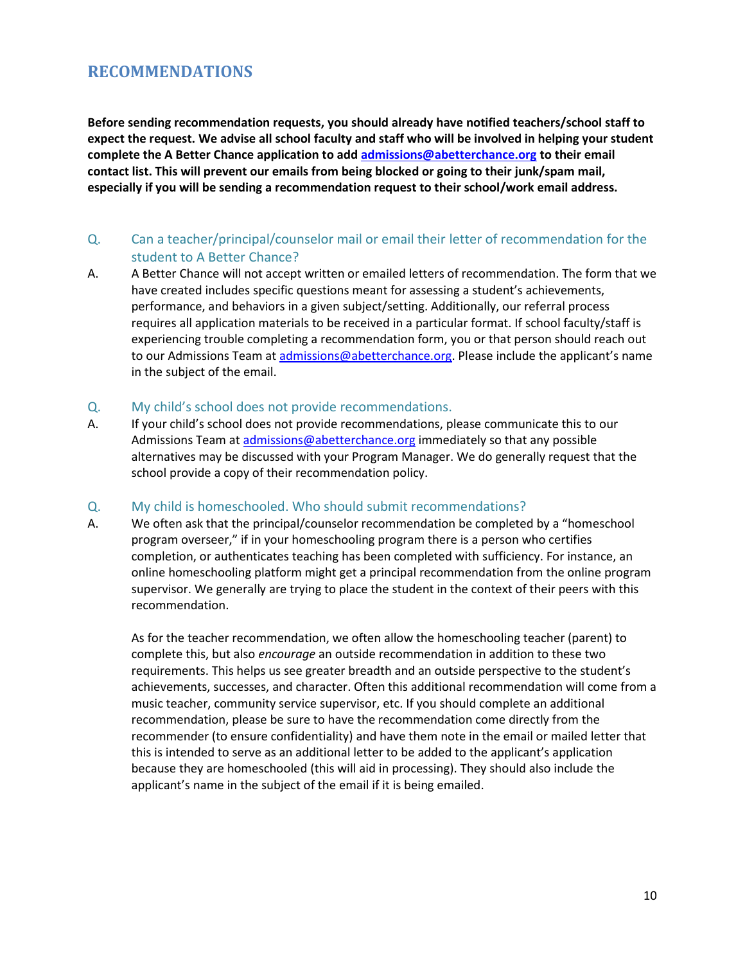# <span id="page-9-0"></span>**RECOMMENDATIONS**

**Before sending recommendation requests, you should already have notified teachers/school staff to expect the request. We advise all school faculty and staff who will be involved in helping your student complete the A Better Chance application to ad[d admissions@abetterchance.org](mailto:admissions@abetterchance.org) to their email contact list. This will prevent our emails from being blocked or going to their junk/spam mail, especially if you will be sending a recommendation request to their school/work email address.** 

## Q. Can a teacher/principal/counselor mail or email their letter of recommendation for the student to A Better Chance?

A. A Better Chance will not accept written or emailed letters of recommendation. The form that we have created includes specific questions meant for assessing a student's achievements, performance, and behaviors in a given subject/setting. Additionally, our referral process requires all application materials to be received in a particular format. If school faculty/staff is experiencing trouble completing a recommendation form, you or that person should reach out to our Admissions Team a[t admissions@abetterchance.org.](mailto:admissions@abetterchance.org) Please include the applicant's name in the subject of the email.

#### Q. My child's school does not provide recommendations.

A. If your child's school does not provide recommendations, please communicate this to our Admissions Team at [admissions@abetterchance.org](mailto:admissions@abetterchance.org) immediately so that any possible alternatives may be discussed with your Program Manager. We do generally request that the school provide a copy of their recommendation policy.

#### Q. My child is homeschooled. Who should submit recommendations?

A. We often ask that the principal/counselor recommendation be completed by a "homeschool program overseer," if in your homeschooling program there is a person who certifies completion, or authenticates teaching has been completed with sufficiency. For instance, an online homeschooling platform might get a principal recommendation from the online program supervisor. We generally are trying to place the student in the context of their peers with this recommendation.

As for the teacher recommendation, we often allow the homeschooling teacher (parent) to complete this, but also *encourage* an outside recommendation in addition to these two requirements. This helps us see greater breadth and an outside perspective to the student's achievements, successes, and character. Often this additional recommendation will come from a music teacher, community service supervisor, etc. If you should complete an additional recommendation, please be sure to have the recommendation come directly from the recommender (to ensure confidentiality) and have them note in the email or mailed letter that this is intended to serve as an additional letter to be added to the applicant's application because they are homeschooled (this will aid in processing). They should also include the applicant's name in the subject of the email if it is being emailed.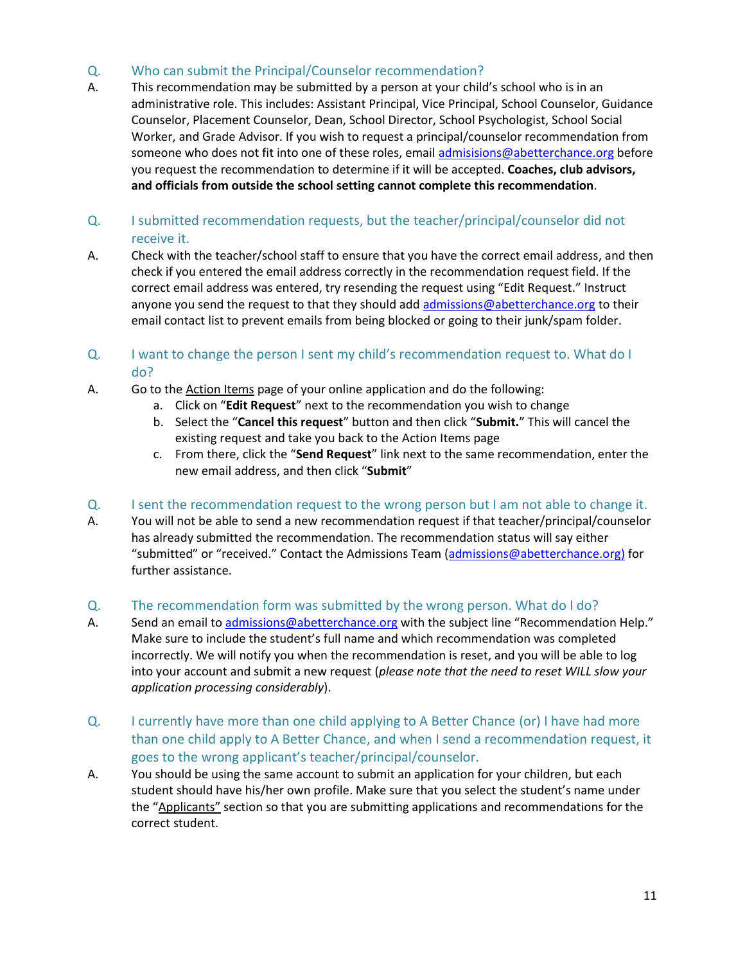# Q. Who can submit the Principal/Counselor recommendation?

A. This recommendation may be submitted by a person at your child's school who is in an administrative role. This includes: Assistant Principal, Vice Principal, School Counselor, Guidance Counselor, Placement Counselor, Dean, School Director, School Psychologist, School Social Worker, and Grade Advisor. If you wish to request a principal/counselor recommendation from someone who does not fit into one of these roles, email [admisisions@abetterchance.org](mailto:admisisions@abetterchance.org) before you request the recommendation to determine if it will be accepted. **Coaches, club advisors, and officials from outside the school setting cannot complete this recommendation**.

## Q. I submitted recommendation requests, but the teacher/principal/counselor did not receive it.

A. Check with the teacher/school staff to ensure that you have the correct email address, and then check if you entered the email address correctly in the recommendation request field. If the correct email address was entered, try resending the request using "Edit Request." Instruct anyone you send the request to that they should ad[d admissions@abetterchance.org t](mailto:admissions@abetterchance.org)o their email contact list to prevent emails from being blocked or going to their junk/spam folder.

# Q. I want to change the person I sent my child's recommendation request to. What do I do?

- A. Go to the Action Items page of your online application and do the following:
	- a. Click on "**Edit Request**" next to the recommendation you wish to change
	- b. Select the "**Cancel this request**" button and then click "**Submit.**" This will cancel the existing request and take you back to the Action Items page
	- c. From there, click the "**Send Request**" link next to the same recommendation, enter the new email address, and then click "**Submit**"

#### Q. I sent the recommendation request to the wrong person but I am not able to change it.

A. You will not be able to send a new recommendation request if that teacher/principal/counselor has already submitted the recommendation. The recommendation status will say either "submitted" or "received." Contact the Admissions Team [\(admissions@abetterchance.org\)](mailto:admissions@abetterchance.org) for further assistance.

## Q. The recommendation form was submitted by the wrong person. What do I do?

- A. Send an email to [admissions@abetterchance.org](mailto:admissions@abetterchance.org) with the subject line "Recommendation Help." Make sure to include the student's full name and which recommendation was completed incorrectly. We will notify you when the recommendation is reset, and you will be able to log into your account and submit a new request (*please note that the need to reset WILL slow your application processing considerably*).
- Q. I currently have more than one child applying to A Better Chance (or) I have had more than one child apply to A Better Chance, and when I send a recommendation request, it goes to the wrong applicant's teacher/principal/counselor.
- A. You should be using the same account to submit an application for your children, but each student should have his/her own profile. Make sure that you select the student's name under the "Applicants" section so that you are submitting applications and recommendations for the correct student.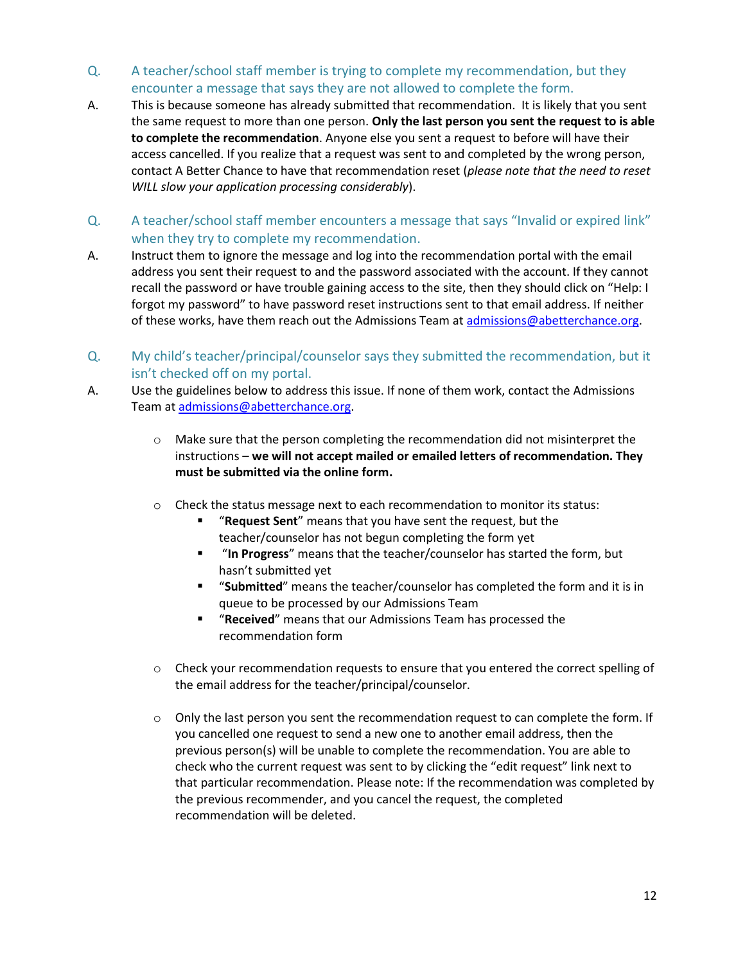# Q. A teacher/school staff member is trying to complete my recommendation, but they encounter a message that says they are not allowed to complete the form.

- A. This is because someone has already submitted that recommendation. It is likely that you sent the same request to more than one person. **Only the last person you sent the request to is able to complete the recommendation**. Anyone else you sent a request to before will have their access cancelled. If you realize that a request was sent to and completed by the wrong person, contact A Better Chance to have that recommendation reset (*please note that the need to reset WILL slow your application processing considerably*).
- Q. A teacher/school staff member encounters a message that says "Invalid or expired link" when they try to complete my recommendation.
- A. Instruct them to ignore the message and log into the recommendation portal with the email address you sent their request to and the password associated with the account. If they cannot recall the password or have trouble gaining access to the site, then they should click on "Help: I forgot my password" to have password reset instructions sent to that email address. If neither of these works, have them reach out the Admissions Team a[t admissions@abetterchance.org.](mailto:admissions@abetterchance.org)
- Q. My child's teacher/principal/counselor says they submitted the recommendation, but it isn't checked off on my portal.
- A. Use the guidelines below to address this issue. If none of them work, contact the Admissions Team at [admissions@abetterchance.org.](mailto:admissions@abetterchance.org)
	- $\circ$  Make sure that the person completing the recommendation did not misinterpret the instructions – **we will not accept mailed or emailed letters of recommendation. They must be submitted via the online form.**
	- $\circ$  Check the status message next to each recommendation to monitor its status:
		- "**Request Sent**" means that you have sent the request, but the teacher/counselor has not begun completing the form yet
		- "**In Progress**" means that the teacher/counselor has started the form, but hasn't submitted yet
		- **"** "Submitted" means the teacher/counselor has completed the form and it is in queue to be processed by our Admissions Team
		- "**Received**" means that our Admissions Team has processed the recommendation form
	- $\circ$  Check your recommendation requests to ensure that you entered the correct spelling of the email address for the teacher/principal/counselor.
	- $\circ$  Only the last person you sent the recommendation request to can complete the form. If you cancelled one request to send a new one to another email address, then the previous person(s) will be unable to complete the recommendation. You are able to check who the current request was sent to by clicking the "edit request" link next to that particular recommendation. Please note: If the recommendation was completed by the previous recommender, and you cancel the request, the completed recommendation will be deleted.